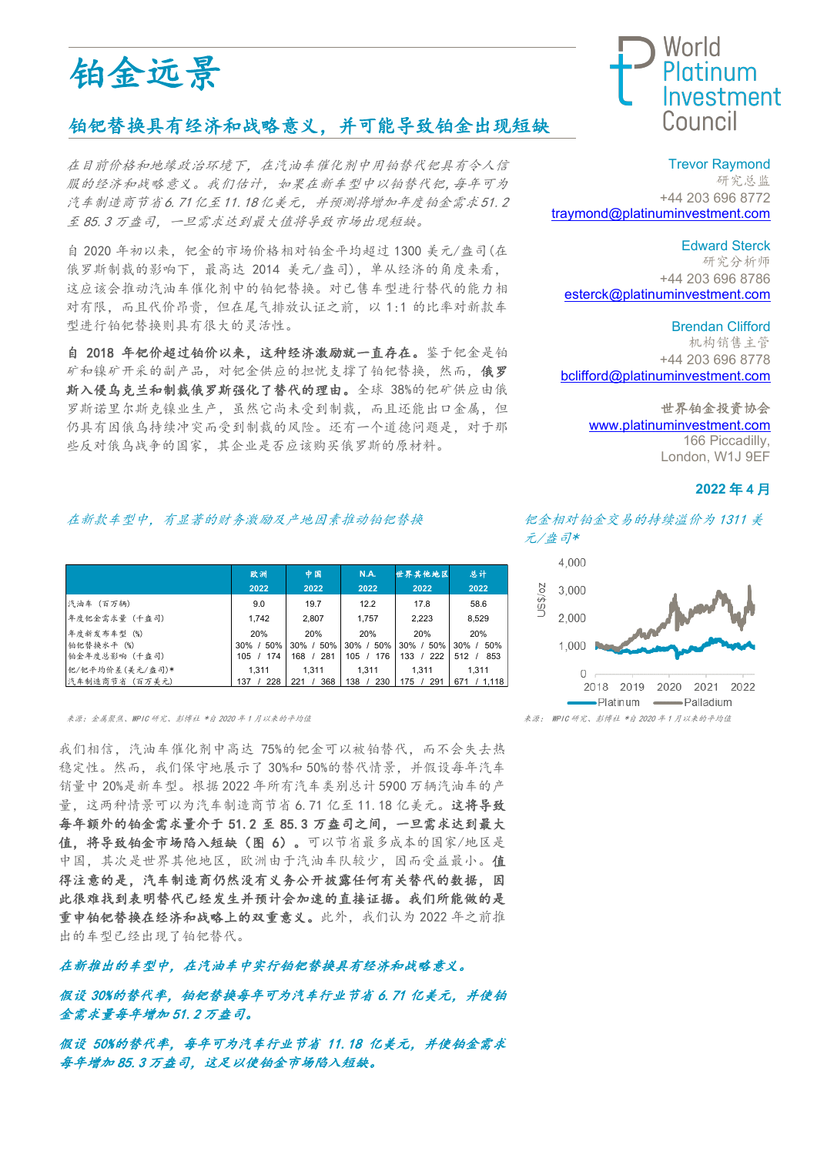

# 铂钯替换具有经济和战略意义,并可能导致铂金出现短缺

在目前价格和地缘政治环境下。在汽油车催化剂中用铂替代钯具有令人信 服的经济和战略意义。我们估计。如果在新车型中以铂替代钯,每年可为 汽车制造商节省6.71亿至11.18亿美元。并预测将增加年度铂金需求51.2 至 85.3 万盎司。 一旦需求达到最大值将导致市场出现短缺。

自 2020 年初以来, 钯金的市场价格相对铂金平均超过 1300 美元/盎司(在 俄罗斯制裁的影响下, 最高达 2014 美元/盎司), 单从经济的角度来看, 这应该会推动汽油车催化剂中的铂钯替换。对已售车型进行替代的能力相 对有限。而且代价昂贵。但在尾气排放认证之前。以 1:1 的比率对新款车 型进行铂钯替换则具有很大的灵活性。

自 2018 年钯价超过铂价以来。这种经济激励就一直存在。鉴于钯金是铂 矿和镍矿开采的副产品, 对钯金供应的担忧支撑了铂钯替换, 然而, 俄罗 斯入侵乌克兰和制裁俄罗斯强化了替代的理由。全球 38%的钯矿供应由俄 罗斯诺里尔斯克镍业生产。虽然它尚未受到制裁。而且还能出口金属。但 仍具有因俄乌持续冲突而受到制裁的风险。还有一个道德问题是, 对于那 些反对俄乌战争的国家。其企业是否应该购买俄罗斯的原材料。

### 在新款车型中,有显著的财务激励及产地因素推动铂钯替换 钯金相对铂金交易的持续溢价为1311 美

|                 | 欧洲              | 中国         | <b>N.A.</b> | 世界其他地区      | 总计              |
|-----------------|-----------------|------------|-------------|-------------|-----------------|
|                 | 2022            | 2022       | 2022        | 2022        | 2022            |
| 汽油车 (百万辆)       | 9.0             | 19.7       | 12.2        | 17.8        | 58.6            |
| 年度钯金需求量 (千盎司)   | 1.742           | 2,807      | 1,757       | 2,223       | 8,529           |
| 年度新发布车型 (%)     | 20%             | 20%        | 20%         | 20%         | 20%             |
| 铂钯替换水平 (%)      | 50%<br>$30\%$ / | 30% / 50%  | 30% / 50%   | 30% / 50%   | $30\%$ /<br>50% |
| 铂金年度总影响(千盎司)    | 174<br>105 /    | 281<br>168 | 176<br>105  | 222<br>133  | 853<br>512      |
| 钯/钯平均价差(美元/盎司)* | 1.311           | 1.311      | 1.311       | 1.311       | 1.311           |
| 汽车制造商节省(百万美元)   | 228<br>137 /    | 368<br>221 | 138<br>230  | 175/<br>291 | 671 / 1.118     |

ᶛⓆφ䠇ኔ㚐❜ȽWPIC ⹊ガȽᖣঐ⽴ \*㠠 2020 ᒪ <sup>1</sup> ᴾԛᶛⲺᒩൽٲ ᶛⓆφ WPIC ⹊ガȽᖣঐ⽴ \*㠠 2020 ᒪ <sup>1</sup> ᴾԛᶛⲺᒩൽٲ

我们相信, 汽油车催化剂中高达 75%的钯金可以被铂替代, 而不会失去热 稳定性。然而,我们保守地展示了30%和50%的替代情景,并假设每年汽车 銷量中 20%是新车型。根据 2022 年所有汽车类别总计 5900 万辆汽油车的产 量。这两种情景可以为汽车制造商节省 6.71 亿至 11.18 亿美元。这将导致 每年额外的铂金需求量介于 51.2 至 85.3 万盎司之间, 一旦需求达到最大 值,将导致铂金市场陷入短缺(图 6)。可以节省最多成本的国家/地区是 中国,其次是世界其他地区,欧洲由于汽油车队较少,因而受益最小。值 得注意的是。汽车制造商仍然没有义务公开披露任何有关替代的数据。因 此很难找到表明替代已经发生并预计会加速的直接证据。我们所能做的是 重申铂钯替换在经济和战略上的双重意义。此外,我们认为2022年之前推 出的车型已经出现了铂钯替代。

#### 在新推出的车型中。在汽油车中实行铂钯替换具有经济和战略意义。

假设 30%的替代率, 铂钯替换每年可为汽车行业节省 6.71 亿美元, 并使铂 金需求量每年增加51.2万盎司。

假设 50%的替代率, 每年可为汽车行业节省 11.18 亿美元, 并使铂金需求 每年增加85.3万盎司,这足以使铂金市场陷入短缺。



Trevor Raymond 研究总监 +44 203 696 8772 [traymond@platinuminvestment.com](mailto:traymond@platinuminvestment.com)

#### Edward Sterck

研究分析师 +44 203 696 8786 [esterck@platinuminvestment.com](mailto:esterck@platinuminvestment.com)

#### Brendan Clifford

机构销售主管 +44 203 696 8778 [bclifford@platinuminvestment.com](mailto:bclifford@platinuminvestment.com)

#### 世界铂金投资协会

[www.platinuminvestment.com](http://www.platinuminvestment.com/) 166 Piccadilly, London, W1J 9EF

#### 2022年4月

元/盎司\*

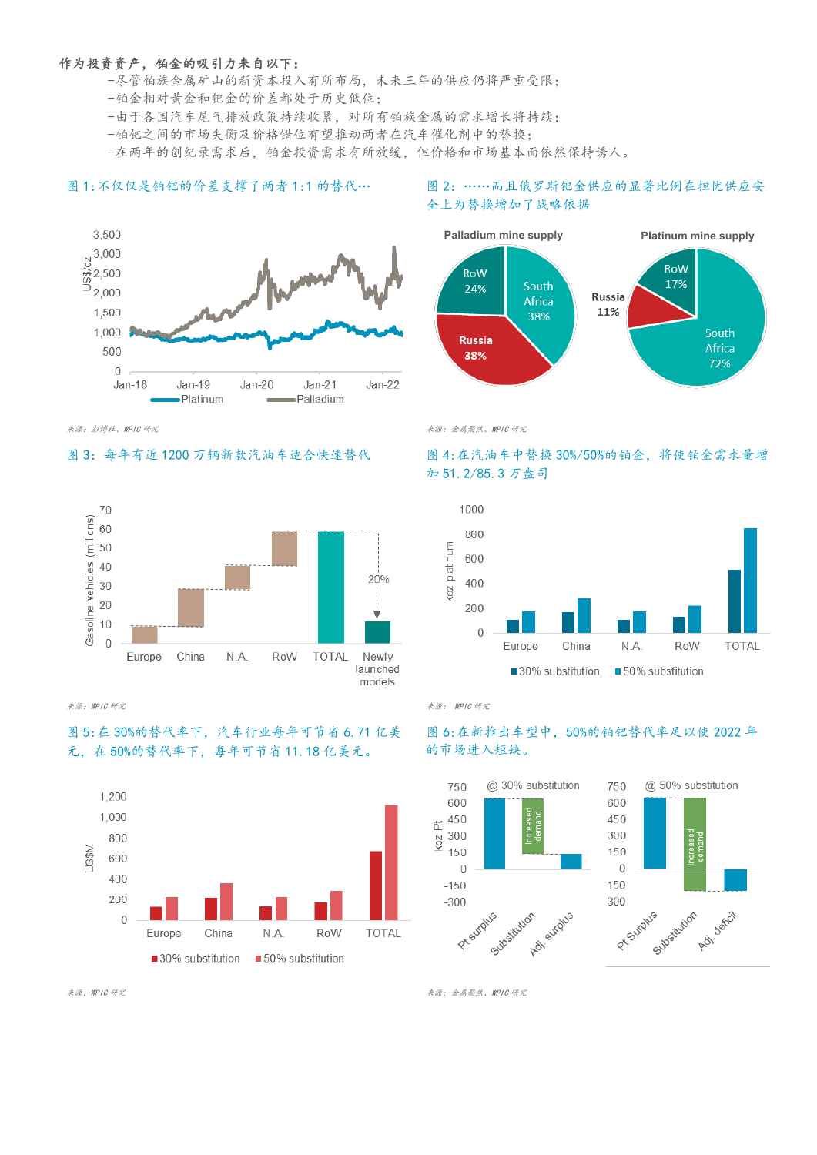#### 作为投资资产, 铂金的吸引力来自以下:

-尽管铂族金属矿山的新资本投入有所布局,未来三年的供应仍将严重受限;

- -铂金相对黄金和钯金的价差都处于历史低位;
- -由于各国汽车尾气排放政策持续收紧, 对所有铂族金属的需求增长将持续;
- -铂钯之间的市场失衡及价格错位有望推动两者在汽车催化剂中的替换:

-在两年的创纪录需求后, 铂金投资需求有所放缓, 但价格和市场基本面依然保持诱人。

#### 图 1:不仅仅是铂钯的价差支撑了两者 1:1 的替代… \_\_\_\_\_\_\_\_\_ 图 2: ……而且俄罗斯钯金供应的显著比例在担忧供应安

#### 3,500  $8^{3,000}$  $\frac{8}{9}$  2,500  $^{0}$  2,000 1.500 1,000 500  $\Omega$  $Jan-18$  $Jan-19$  $Jan-20$  $Jan-21$  $Jan-22$ -Platinum Palladium



来源: WPIC 研究 インタン・シート しゅうしゅうしゅ しゅうしゅうしゅう しゅうしゅう おんしゅう きんじゅう きんじゅう きんじゅう きんじゅう きんじゅう

# 图 5: 在 30%的替代率下, 汽车行业每年可节省 6.71 亿美 元. 在50%的替代率下. 每年可节省11.18 亿美元。



# 全上为替换增加了战略依据



# 图 3: 每年有近1200 万辆新款汽油车适合快速替代 图 4:在汽油车中替换 30%/50%的铂金, 将使铂金需求量增 加 51.2/85.3 万盎司



## 图 6: 在新推出车型中, 50%的铂钯替代率足以使 2022 年 的市场进入短缺。



ᶛⓆφWPIC ⹊ガ ᶛⓆφ䠇ኔ㚐❜ȽWPIC ⹊ガ

表源:彭博社、WPIC 研究<br>※源:彭博社、WPIC 研究